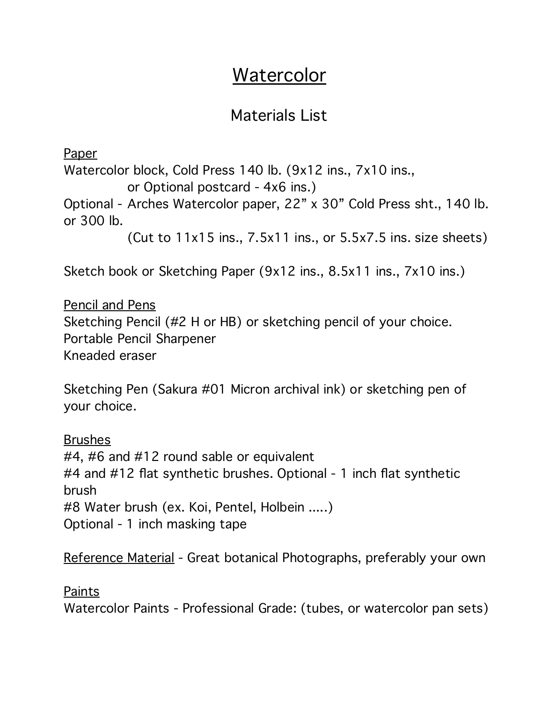## Watercolor

## Materials List

Paper Watercolor block, Cold Press 140 lb. (9x12 ins., 7x10 ins., or Optional postcard - 4x6 ins.) Optional - Arches Watercolor paper, 22" x 30" Cold Press sht., 140 lb. or 300 lb. (Cut to 11x15 ins., 7.5x11 ins., or 5.5x7.5 ins. size sheets)

Sketch book or Sketching Paper (9x12 ins., 8.5x11 ins., 7x10 ins.)

Pencil and Pens Sketching Pencil (#2 H or HB) or sketching pencil of your choice. Portable Pencil Sharpener Kneaded eraser

Sketching Pen (Sakura #01 Micron archival ink) or sketching pen of your choice.

**Brushes** #4, #6 and #12 round sable or equivalent #4 and #12 flat synthetic brushes. Optional - 1 inch flat synthetic brush #8 Water brush (ex. Koi, Pentel, Holbein .....) Optional - 1 inch masking tape

Reference Material - Great botanical Photographs, preferably your own

Paints

Watercolor Paints - Professional Grade: (tubes, or watercolor pan sets)